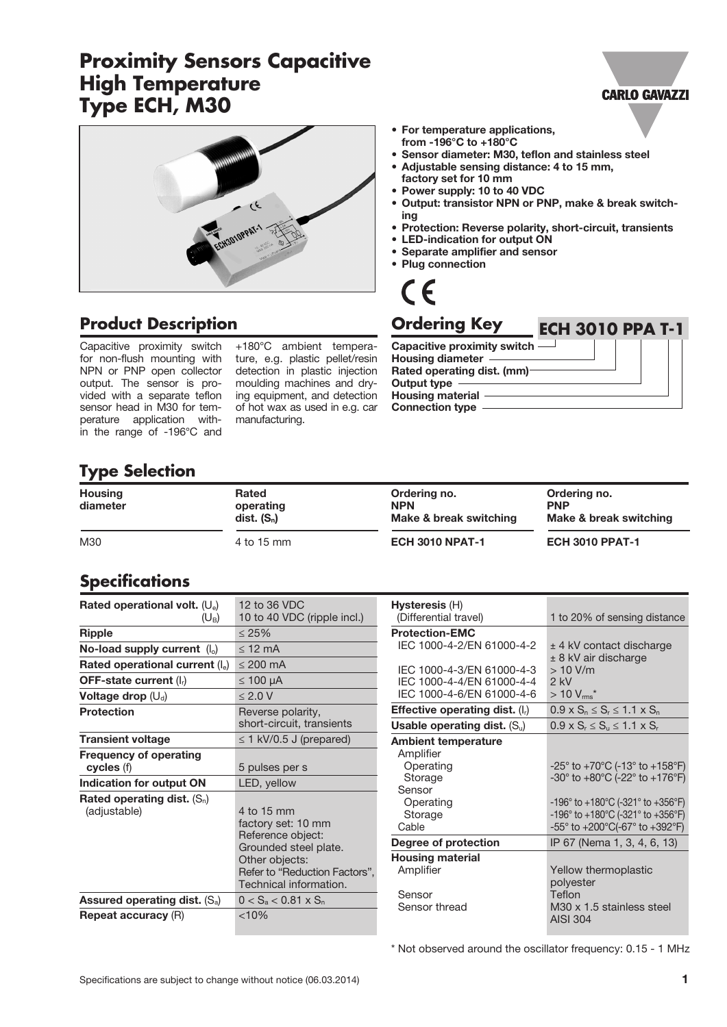# **Proximity Sensors Capacitive High Temperature Type ECH, M30**



### **Product Description**

Capacitive proximity switch for non-flush mounting with NPN or PNP open collector output. The sensor is provided with a separate teflon sensor head in M30 for temperature application within the range of -196°C and

+180°C ambient temperature, e.g. plastic pellet/resin detection in plastic injection moulding machines and drying equipment, and detection of hot wax as used in e.g. car manufacturing.

- For temperature applications, from -196°C to +180°C
- Sensor diameter: M30, teflon and stainless steel • Adjustable sensing distance: 4 to 15 mm,
- factory set for 10 mm
- Power supply: 10 to 40 VDC
- Output: transistor NPN or PNP, make & break switching
- Protection: Reverse polarity, short-circuit, transients

**ECH 3010 PPA T-1**

**CARLO GAVAZZI** 

- LED-indication for output ON
- Separate amplifier and sensor
- Plug connection



#### **Ordering Key**

Capacitive proximity switch Housing diameter Rated operating dist. (mm) Output type Housing material -Connection type

#### **Type Selection**

| <b>Housing</b><br>diameter | Rated<br>operating<br>$dist.$ $(S_n)$ | Ordering no.<br><b>NPN</b><br>Make & break switching | Ordering no.<br><b>PNP</b><br>Make & break switching |
|----------------------------|---------------------------------------|------------------------------------------------------|------------------------------------------------------|
| M30                        | 4 to 15 mm                            | <b>ECH 3010 NPAT-1</b>                               | <b>ECH 3010 PPAT-1</b>                               |

#### **Specifications**

| Rated operational volt. $(U_e)$<br>$(U_{B})$  | 12 to 36 VDC<br>10 to 40 VDC (ripple incl.)                                                                                                                 |
|-----------------------------------------------|-------------------------------------------------------------------------------------------------------------------------------------------------------------|
| Ripple                                        | $\leq 25\%$                                                                                                                                                 |
| No-load supply current $(I_0)$                | $<$ 12 mA                                                                                                                                                   |
| Rated operational current $(I_e)$             | $\leq$ 200 mA                                                                                                                                               |
| OFF-state current $(I_r)$                     | $\leq 100 \mu A$                                                                                                                                            |
| Voltage drop $(U_d)$                          | $\leq 2.0$ V                                                                                                                                                |
| <b>Protection</b>                             | Reverse polarity,<br>short-circuit, transients                                                                                                              |
| <b>Transient voltage</b>                      | $\leq$ 1 kV/0.5 J (prepared)                                                                                                                                |
| <b>Frequency of operating</b><br>cycles (f)   | 5 pulses per s                                                                                                                                              |
| Indication for output ON                      | LED, yellow                                                                                                                                                 |
| Rated operating dist. $(S_n)$<br>(adjustable) | 4 to 15 mm<br>factory set: 10 mm<br>Reference object:<br>Grounded steel plate.<br>Other objects:<br>Refer to "Reduction Factors",<br>Technical information. |
| Assured operating dist. $(S_a)$               | $0 < S_a < 0.81 \times S_n$                                                                                                                                 |
| <b>Repeat accuracy (R)</b>                    | $< 10\%$                                                                                                                                                    |

| Hysteresis (H)                    |                                                                       |  |
|-----------------------------------|-----------------------------------------------------------------------|--|
| (Differential travel)             | 1 to 20% of sensing distance                                          |  |
| <b>Protection-EMC</b>             |                                                                       |  |
| IEC 1000-4-2/EN 61000-4-2         | $±$ 4 kV contact discharge                                            |  |
|                                   | $± 8$ kV air discharge                                                |  |
| IFC 1000-4-3/FN 61000-4-3         | $>10$ V/m                                                             |  |
| IEC 1000-4-4/EN 61000-4-4         | $2$ kV                                                                |  |
| IFC 1000-4-6/FN 61000-4-6         | $>10 V_{\rm rms}$ *                                                   |  |
| Effective operating dist. $(I_r)$ | $0.9 \times S_n \le S_r \le 1.1 \times S_n$                           |  |
| Usable operating dist. $(S_u)$    | $0.9 \times S_r \leq S_u \leq 1.1 \times S_r$                         |  |
| <b>Ambient temperature</b>        |                                                                       |  |
| Amplifier                         |                                                                       |  |
| Operating                         | $-25^{\circ}$ to $+70^{\circ}$ C (-13° to $+158^{\circ}$ F)           |  |
| Storage                           | $-30^{\circ}$ to $+80^{\circ}$ C (-22 $^{\circ}$ to $+176^{\circ}$ F) |  |
| Sensor                            |                                                                       |  |
| Operating                         | -196° to +180°C (-321° to +356°F)                                     |  |
| Storage                           | -196° to +180°C (-321° to +356°F)                                     |  |
| Cable                             | -55° to +200°C(-67° to +392°F)                                        |  |
| Degree of protection              | IP 67 (Nema 1, 3, 4, 6, 13)                                           |  |
| <b>Housing material</b>           |                                                                       |  |
| Amplifier                         | Yellow thermoplastic                                                  |  |
|                                   | polyester                                                             |  |
| Sensor                            | Teflon                                                                |  |
| Sensor thread                     | M30 x 1.5 stainless steel<br><b>AISI 304</b>                          |  |

\* Not observed around the oscillator frequency: 0.15 - 1 MHz